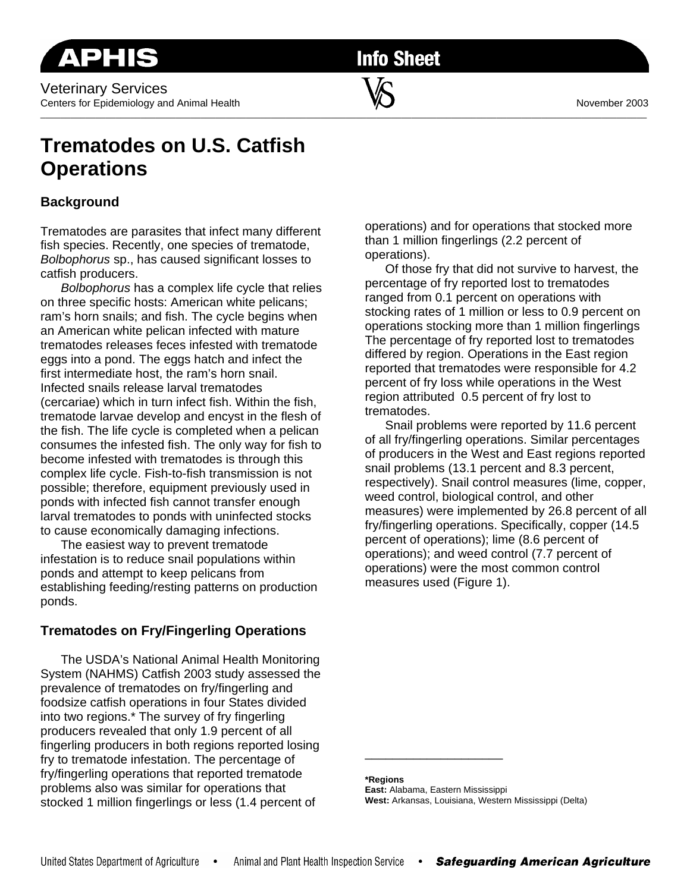**Info Sheet** 

\_\_\_\_\_\_\_\_\_\_\_\_\_\_\_\_\_\_\_\_\_\_\_\_\_\_\_\_\_\_\_\_\_\_\_\_\_\_\_\_\_\_\_\_\_\_\_\_\_\_\_\_\_\_\_\_\_\_\_\_\_\_\_\_\_\_\_\_\_\_\_\_\_\_\_\_\_\_\_\_\_\_\_\_\_\_\_\_\_\_\_\_\_\_\_\_\_\_\_\_\_\_\_\_\_\_\_\_\_\_\_\_\_\_\_\_\_\_\_\_\_

# **Trematodes on U.S. Catfish Operations**

## **Background**

Trematodes are parasites that infect many different fish species. Recently, one species of trematode, *Bolbophorus* sp., has caused significant losses to catfish producers.

*Bolbophorus* has a complex life cycle that relies on three specific hosts: American white pelicans; ram's horn snails; and fish. The cycle begins when an American white pelican infected with mature trematodes releases feces infested with trematode eggs into a pond. The eggs hatch and infect the first intermediate host, the ram's horn snail. Infected snails release larval trematodes (cercariae) which in turn infect fish. Within the fish, trematode larvae develop and encyst in the flesh of the fish. The life cycle is completed when a pelican consumes the infested fish. The only way for fish to become infested with trematodes is through this complex life cycle. Fish-to-fish transmission is not possible; therefore, equipment previously used in ponds with infected fish cannot transfer enough larval trematodes to ponds with uninfected stocks to cause economically damaging infections.

 The easiest way to prevent trematode infestation is to reduce snail populations within ponds and attempt to keep pelicans from establishing feeding/resting patterns on production ponds.

## **Trematodes on Fry/Fingerling Operations**

 The USDA's National Animal Health Monitoring System (NAHMS) Catfish 2003 study assessed the prevalence of trematodes on fry/fingerling and foodsize catfish operations in four States divided into two regions.\* The survey of fry fingerling producers revealed that only 1.9 percent of all fingerling producers in both regions reported losing fry to trematode infestation. The percentage of fry/fingerling operations that reported trematode problems also was similar for operations that stocked 1 million fingerlings or less (1.4 percent of

operations) and for operations that stocked more than 1 million fingerlings (2.2 percent of operations).

Of those fry that did not survive to harvest, the percentage of fry reported lost to trematodes ranged from 0.1 percent on operations with stocking rates of 1 million or less to 0.9 percent on operations stocking more than 1 million fingerlings The percentage of fry reported lost to trematodes differed by region. Operations in the East region reported that trematodes were responsible for 4.2 percent of fry loss while operations in the West region attributed 0.5 percent of fry lost to trematodes.

 Snail problems were reported by 11.6 percent of all fry/fingerling operations. Similar percentages of producers in the West and East regions reported snail problems (13.1 percent and 8.3 percent, respectively). Snail control measures (lime, copper, weed control, biological control, and other measures) were implemented by 26.8 percent of all fry/fingerling operations. Specifically, copper (14.5 percent of operations); lime (8.6 percent of operations); and weed control (7.7 percent of operations) were the most common control measures used (Figure 1).

**\*Regions** 

**East:** Alabama, Eastern Mississippi **West:** Arkansas, Louisiana, Western Mississippi (Delta)

\_\_\_\_\_\_\_\_\_\_\_\_\_\_\_\_\_\_\_\_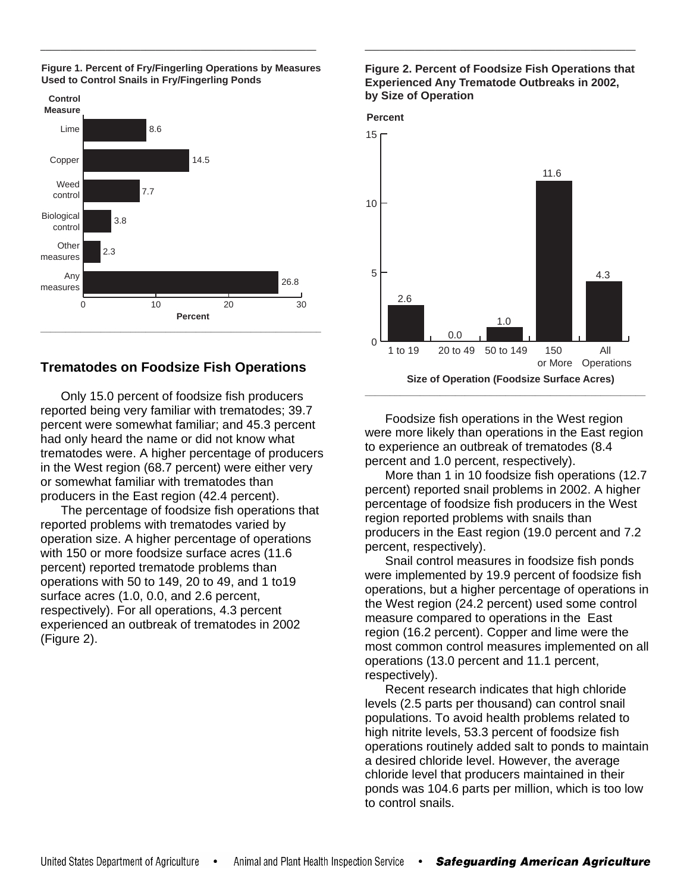

#### **Figure 1. Percent of Fry/Fingerling Operations by Measures Used to Control Snails in Fry/Fingerling Ponds**

\_\_\_\_\_\_\_\_\_\_\_\_\_\_\_\_\_\_\_\_\_\_\_\_\_\_\_\_\_\_\_\_\_\_\_\_\_\_\_\_\_\_\_\_\_\_\_\_\_\_\_\_\_\_\_

## **Trematodes on Foodsize Fish Operations**

 Only 15.0 percent of foodsize fish producers reported being very familiar with trematodes; 39.7 percent were somewhat familiar; and 45.3 percent had only heard the name or did not know what trematodes were. A higher percentage of producers in the West region (68.7 percent) were either very or somewhat familiar with trematodes than producers in the East region (42.4 percent).

 The percentage of foodsize fish operations that reported problems with trematodes varied by operation size. A higher percentage of operations with 150 or more foodsize surface acres (11.6 percent) reported trematode problems than operations with 50 to 149, 20 to 49, and 1 to19 surface acres (1.0, 0.0, and 2.6 percent, respectively). For all operations, 4.3 percent experienced an outbreak of trematodes in 2002 (Figure 2).

### **Figure 2. Percent of Foodsize Fish Operations that Experienced Any Trematode Outbreaks in 2002, by Size of Operation**

\_\_\_\_\_\_\_\_\_\_\_\_\_\_\_\_\_\_\_\_\_\_\_\_\_\_\_\_\_\_\_\_\_\_\_\_\_\_\_\_\_\_\_\_\_\_\_\_\_\_\_\_\_\_



Foodsize fish operations in the West region were more likely than operations in the East region to experience an outbreak of trematodes (8.4 percent and 1.0 percent, respectively).

 More than 1 in 10 foodsize fish operations (12.7 percent) reported snail problems in 2002. A higher percentage of foodsize fish producers in the West region reported problems with snails than producers in the East region (19.0 percent and 7.2 percent, respectively).

 Snail control measures in foodsize fish ponds were implemented by 19.9 percent of foodsize fish operations, but a higher percentage of operations in the West region (24.2 percent) used some control measure compared to operations in the East region (16.2 percent). Copper and lime were the most common control measures implemented on all operations (13.0 percent and 11.1 percent, respectively).

 Recent research indicates that high chloride levels (2.5 parts per thousand) can control snail populations. To avoid health problems related to high nitrite levels, 53.3 percent of foodsize fish operations routinely added salt to ponds to maintain a desired chloride level. However, the average chloride level that producers maintained in their ponds was 104.6 parts per million, which is too low to control snails.